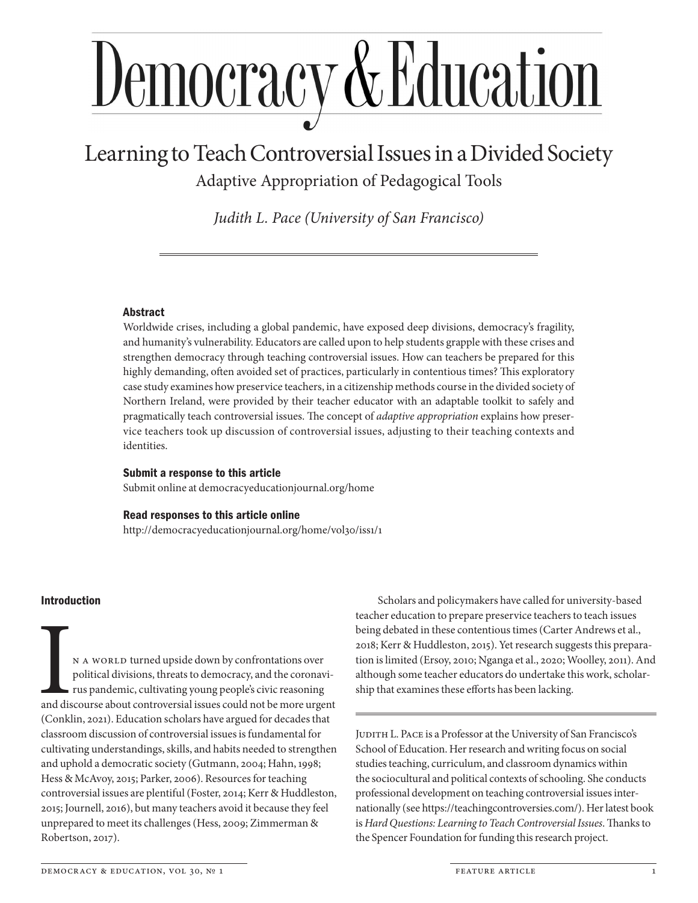# <u>Democracy & Education</u>

# Learning to Teach Controversial Issues in a Divided Society Adaptive Appropriation of Pedagogical Tools

*Judith L. Pace (University of San Francisco)*

# Abstract

Worldwide crises, including a global pandemic, have exposed deep divisions, democracy's fragility, and humanity's vulnerability. Educators are called upon to help students grapple with these crises and strengthen democracy through teaching controversial issues. How can teachers be prepared for this highly demanding, often avoided set of practices, particularly in contentious times? This exploratory case study examines how preservice teachers, in a citizenship methods course in the divided society of Northern Ireland, were provided by their teacher educator with an adaptable toolkit to safely and pragmatically teach controversial issues. The concept of *adaptive appropriation* explains how preservice teachers took up discussion of controversial issues, adjusting to their teaching contexts and identities.

# Submit a response to this article

Submit online at democracyeducationjournal.org/home

# Read responses to this article online

http://democracyeducationjournal.org/home/vol30/iss1/1

# Introduction

N A WORLD turned upside down by confrontations over political divisions, threats to democracy, and the coronavirus pandemic, cultivating young people's civic reasoning and discourse about controversial issues could not be more urgent (Conklin, 2021). Education scholars have argued for decades that classroom discussion of controversial issues is fundamental for cultivating understandings, skills, and habits needed to strengthen and uphold a democratic society (Gutmann, 2004; Hahn, 1998; Hess & McAvoy, 2015; Parker, 2006). Resources for teaching controversial issues are plentiful (Foster, 2014; Kerr & Huddleston, 2015; Journell, 2016), but many teachers avoid it because they feel unprepared to meet its challenges (Hess, 2009; Zimmerman & Robertson, 2017).

Scholars and policymakers have called for university-based teacher education to prepare preservice teachers to teach issues being debated in these contentious times (Carter Andrews et al., 2018; Kerr & Huddleston, 2015). Yet research suggests this preparation is limited (Ersoy, 2010; Nganga et al., 2020; Woolley, 2011). And although some teacher educators do undertake this work, scholarship that examines these efforts has been lacking.

JUDITH L. PACE is a Professor at the University of San Francisco's School of Education. Her research and writing focus on social studies teaching, curriculum, and classroom dynamics within the sociocultural and political contexts of schooling. She conducts professional development on teaching controversial issues internationally (see https://teachingcontroversies.com/). Her latest book is *Hard Questions: Learning to Teach Controversial Issues*. Thanks to the Spencer Foundation for funding this research project.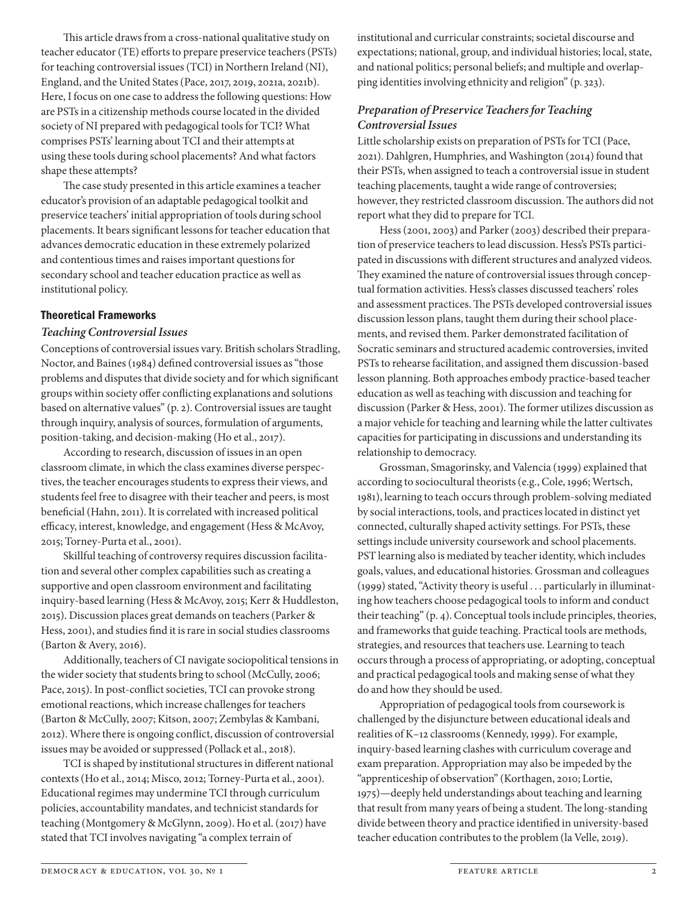This article draws from a cross-national qualitative study on teacher educator (TE) efforts to prepare preservice teachers (PSTs) for teaching controversial issues (TCI) in Northern Ireland (NI), England, and the United States (Pace, 2017, 2019, 2021a, 2021b). Here, I focus on one case to address the following questions: How are PSTs in a citizenship methods course located in the divided society of NI prepared with pedagogical tools for TCI? What comprises PSTs' learning about TCI and their attempts at using these tools during school placements? And what factors shape these attempts?

The case study presented in this article examines a teacher educator's provision of an adaptable pedagogical toolkit and preservice teachers' initial appropriation of tools during school placements. It bears significant lessons for teacher education that advances democratic education in these extremely polarized and contentious times and raises important questions for secondary school and teacher education practice as well as institutional policy.

#### Theoretical Frameworks

#### *Teaching Controversial Issues*

Conceptions of controversial issues vary. British scholars Stradling, Noctor, and Baines (1984) defined controversial issues as "those problems and disputes that divide society and for which significant groups within society offer conflicting explanations and solutions based on alternative values" (p. 2). Controversial issues are taught through inquiry, analysis of sources, formulation of arguments, position-taking, and decision-making (Ho et al., 2017).

According to research, discussion of issues in an open classroom climate, in which the class examines diverse perspectives, the teacher encourages students to express their views, and students feel free to disagree with their teacher and peers, is most beneficial (Hahn, 2011). It is correlated with increased political efficacy, interest, knowledge, and engagement (Hess & McAvoy, 2015; Torney-Purta et al., 2001).

Skillful teaching of controversy requires discussion facilitation and several other complex capabilities such as creating a supportive and open classroom environment and facilitating inquiry-based learning (Hess & McAvoy, 2015; Kerr & Huddleston, 2015). Discussion places great demands on teachers (Parker & Hess, 2001), and studies find it is rare in social studies classrooms (Barton & Avery, 2016).

Additionally, teachers of CI navigate sociopolitical tensions in the wider society that students bring to school (McCully, 2006; Pace, 2015). In post-conflict societies, TCI can provoke strong emotional reactions, which increase challenges for teachers (Barton & McCully, 2007; Kitson, 2007; Zembylas & Kambani, 2012). Where there is ongoing conflict, discussion of controversial issues may be avoided or suppressed (Pollack et al., 2018).

TCI is shaped by institutional structures in different national contexts (Ho et al., 2014; Misco, 2012; Torney-Purta et al., 2001). Educational regimes may undermine TCI through curriculum policies, accountability mandates, and technicist standards for teaching (Montgomery & McGlynn, 2009). Ho et al. (2017) have stated that TCI involves navigating "a complex terrain of

institutional and curricular constraints; societal discourse and expectations; national, group, and individual histories; local, state, and national politics; personal beliefs; and multiple and overlapping identities involving ethnicity and religion" (p. 323).

# *Preparation of Preservice Teachers for Teaching Controversial Issues*

Little scholarship exists on preparation of PSTs for TCI (Pace, 2021). Dahlgren, Humphries, and Washington (2014) found that their PSTs, when assigned to teach a controversial issue in student teaching placements, taught a wide range of controversies; however, they restricted classroom discussion. The authors did not report what they did to prepare for TCI.

Hess (2001, 2003) and Parker (2003) described their preparation of preservice teachers to lead discussion. Hess's PSTs participated in discussions with different structures and analyzed videos. They examined the nature of controversial issues through conceptual formation activities. Hess's classes discussed teachers' roles and assessment practices. The PSTs developed controversial issues discussion lesson plans, taught them during their school placements, and revised them. Parker demonstrated facilitation of Socratic seminars and structured academic controversies, invited PSTs to rehearse facilitation, and assigned them discussion-based lesson planning. Both approaches embody practice-based teacher education as well as teaching with discussion and teaching for discussion (Parker & Hess, 2001). The former utilizes discussion as a major vehicle for teaching and learning while the latter cultivates capacities for participating in discussions and understanding its relationship to democracy.

Grossman, Smagorinsky, and Valencia (1999) explained that according to sociocultural theorists (e.g., Cole, 1996; Wertsch, 1981), learning to teach occurs through problem-solving mediated by social interactions, tools, and practices located in distinct yet connected, culturally shaped activity settings. For PSTs, these settings include university coursework and school placements. PST learning also is mediated by teacher identity, which includes goals, values, and educational histories. Grossman and colleagues (1999) stated, "Activity theory is useful . . . particularly in illuminating how teachers choose pedagogical tools to inform and conduct their teaching" (p. 4). Conceptual tools include principles, theories, and frameworks that guide teaching. Practical tools are methods, strategies, and resources that teachers use. Learning to teach occurs through a process of appropriating, or adopting, conceptual and practical pedagogical tools and making sense of what they do and how they should be used.

Appropriation of pedagogical tools from coursework is challenged by the disjuncture between educational ideals and realities of K–12 classrooms (Kennedy, 1999). For example, inquiry-based learning clashes with curriculum coverage and exam preparation. Appropriation may also be impeded by the "apprenticeship of observation" (Korthagen, 2010; Lortie, 1975)—deeply held understandings about teaching and learning that result from many years of being a student. The long-standing divide between theory and practice identified in university-based teacher education contributes to the problem (la Velle, 2019).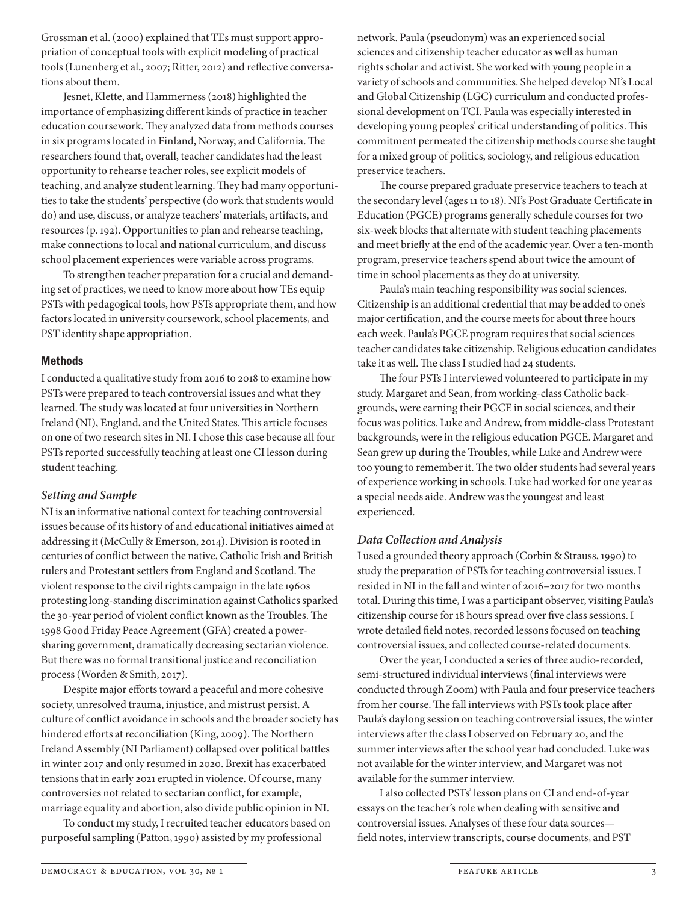Grossman et al. (2000) explained that TEs must support appropriation of conceptual tools with explicit modeling of practical tools (Lunenberg et al., 2007; Ritter, 2012) and reflective conversations about them.

Jesnet, Klette, and Hammerness (2018) highlighted the importance of emphasizing different kinds of practice in teacher education coursework. They analyzed data from methods courses in six programs located in Finland, Norway, and California. The researchers found that, overall, teacher candidates had the least opportunity to rehearse teacher roles, see explicit models of teaching, and analyze student learning. They had many opportunities to take the students' perspective (do work that students would do) and use, discuss, or analyze teachers' materials, artifacts, and resources (p. 192). Opportunities to plan and rehearse teaching, make connections to local and national curriculum, and discuss school placement experiences were variable across programs.

To strengthen teacher preparation for a crucial and demanding set of practices, we need to know more about how TEs equip PSTs with pedagogical tools, how PSTs appropriate them, and how factors located in university coursework, school placements, and PST identity shape appropriation.

## Methods

I conducted a qualitative study from 2016 to 2018 to examine how PSTs were prepared to teach controversial issues and what they learned. The study was located at four universities in Northern Ireland (NI), England, and the United States. This article focuses on one of two research sites in NI. I chose this case because all four PSTs reported successfully teaching at least one CI lesson during student teaching.

# *Setting and Sample*

NI is an informative national context for teaching controversial issues because of its history of and educational initiatives aimed at addressing it (McCully & Emerson, 2014). Division is rooted in centuries of conflict between the native, Catholic Irish and British rulers and Protestant settlers from England and Scotland. The violent response to the civil rights campaign in the late 1960s protesting long-standing discrimination against Catholics sparked the 30-year period of violent conflict known as the Troubles. The 1998 Good Friday Peace Agreement (GFA) created a powersharing government, dramatically decreasing sectarian violence. But there was no formal transitional justice and reconciliation process (Worden & Smith, 2017).

Despite major efforts toward a peaceful and more cohesive society, unresolved trauma, injustice, and mistrust persist. A culture of conflict avoidance in schools and the broader society has hindered efforts at reconciliation (King, 2009). The Northern Ireland Assembly (NI Parliament) collapsed over political battles in winter 2017 and only resumed in 2020. Brexit has exacerbated tensions that in early 2021 erupted in violence. Of course, many controversies not related to sectarian conflict, for example, marriage equality and abortion, also divide public opinion in NI.

To conduct my study, I recruited teacher educators based on purposeful sampling (Patton, 1990) assisted by my professional

network. Paula (pseudonym) was an experienced social sciences and citizenship teacher educator as well as human rights scholar and activist. She worked with young people in a variety of schools and communities. She helped develop NI's Local and Global Citizenship (LGC) curriculum and conducted professional development on TCI. Paula was especially interested in developing young peoples' critical understanding of politics. This commitment permeated the citizenship methods course she taught for a mixed group of politics, sociology, and religious education preservice teachers.

The course prepared graduate preservice teachers to teach at the secondary level (ages 11 to 18). NI's Post Graduate Certificate in Education (PGCE) programs generally schedule courses for two six-week blocks that alternate with student teaching placements and meet briefly at the end of the academic year. Over a ten-month program, preservice teachers spend about twice the amount of time in school placements as they do at university.

Paula's main teaching responsibility was social sciences. Citizenship is an additional credential that may be added to one's major certification, and the course meets for about three hours each week. Paula's PGCE program requires that social sciences teacher candidates take citizenship. Religious education candidates take it as well. The class I studied had 24 students.

The four PSTs I interviewed volunteered to participate in my study. Margaret and Sean, from working-class Catholic backgrounds, were earning their PGCE in social sciences, and their focus was politics. Luke and Andrew, from middle-class Protestant backgrounds, were in the religious education PGCE. Margaret and Sean grew up during the Troubles, while Luke and Andrew were too young to remember it. The two older students had several years of experience working in schools. Luke had worked for one year as a special needs aide. Andrew was the youngest and least experienced.

# *Data Collection and Analysis*

I used a grounded theory approach (Corbin & Strauss, 1990) to study the preparation of PSTs for teaching controversial issues. I resided in NI in the fall and winter of 2016–2017 for two months total. During this time, I was a participant observer, visiting Paula's citizenship course for 18 hours spread over five class sessions. I wrote detailed field notes, recorded lessons focused on teaching controversial issues, and collected course-related documents.

Over the year, I conducted a series of three audio-recorded, semi-structured individual interviews (final interviews were conducted through Zoom) with Paula and four preservice teachers from her course. The fall interviews with PSTs took place after Paula's daylong session on teaching controversial issues, the winter interviews after the class I observed on February 20, and the summer interviews after the school year had concluded. Luke was not available for the winter interview, and Margaret was not available for the summer interview.

I also collected PSTs' lesson plans on CI and end-of-year essays on the teacher's role when dealing with sensitive and controversial issues. Analyses of these four data sources field notes, interview transcripts, course documents, and PST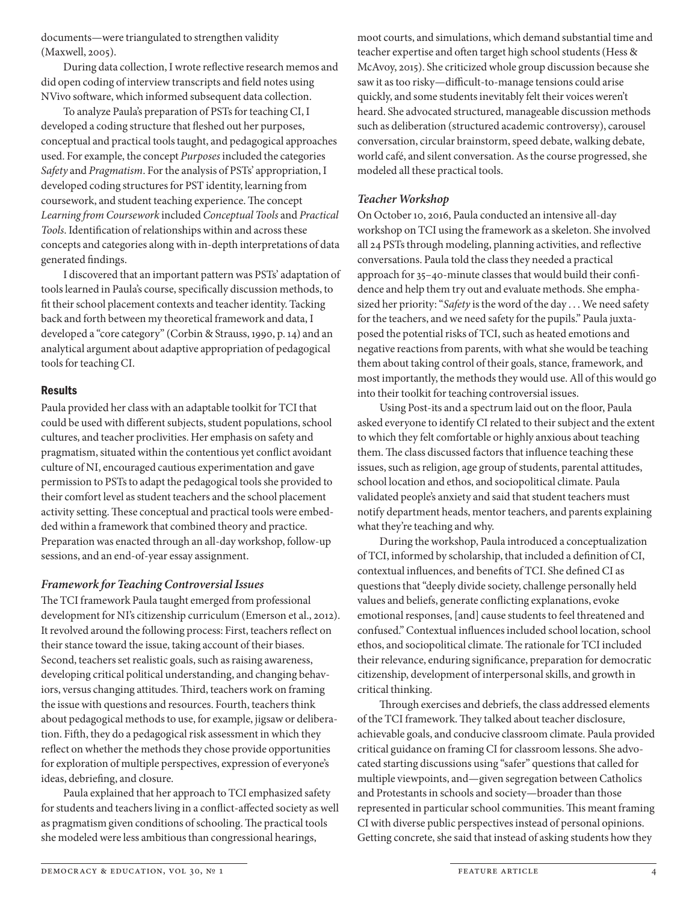documents—were triangulated to strengthen validity (Maxwell, 2005).

During data collection, I wrote reflective research memos and did open coding of interview transcripts and field notes using NVivo software, which informed subsequent data collection.

To analyze Paula's preparation of PSTs for teaching CI, I developed a coding structure that fleshed out her purposes, conceptual and practical tools taught, and pedagogical approaches used. For example, the concept *Purposes* included the categories *Safety* and *Pragmatism*. For the analysis of PSTs' appropriation, I developed coding structures for PST identity, learning from coursework, and student teaching experience. The concept *Learning from Coursework* included *Conceptual Tools* and *Practical Tools*. Identification of relationships within and across these concepts and categories along with in-depth interpretations of data generated findings.

I discovered that an important pattern was PSTs' adaptation of tools learned in Paula's course, specifically discussion methods, to fit their school placement contexts and teacher identity. Tacking back and forth between my theoretical framework and data, I developed a "core category" (Corbin & Strauss, 1990, p. 14) and an analytical argument about adaptive appropriation of pedagogical tools for teaching CI.

#### Results

Paula provided her class with an adaptable toolkit for TCI that could be used with different subjects, student populations, school cultures, and teacher proclivities. Her emphasis on safety and pragmatism, situated within the contentious yet conflict avoidant culture of NI, encouraged cautious experimentation and gave permission to PSTs to adapt the pedagogical tools she provided to their comfort level as student teachers and the school placement activity setting. These conceptual and practical tools were embedded within a framework that combined theory and practice. Preparation was enacted through an all-day workshop, follow-up sessions, and an end-of-year essay assignment.

# *Framework for Teaching Controversial Issues*

The TCI framework Paula taught emerged from professional development for NI's citizenship curriculum (Emerson et al., 2012). It revolved around the following process: First, teachers reflect on their stance toward the issue, taking account of their biases. Second, teachers set realistic goals, such as raising awareness, developing critical political understanding, and changing behaviors, versus changing attitudes. Third, teachers work on framing the issue with questions and resources. Fourth, teachers think about pedagogical methods to use, for example, jigsaw or deliberation. Fifth, they do a pedagogical risk assessment in which they reflect on whether the methods they chose provide opportunities for exploration of multiple perspectives, expression of everyone's ideas, debriefing, and closure.

Paula explained that her approach to TCI emphasized safety for students and teachers living in a conflict-affected society as well as pragmatism given conditions of schooling. The practical tools she modeled were less ambitious than congressional hearings,

moot courts, and simulations, which demand substantial time and teacher expertise and often target high school students (Hess & McAvoy, 2015). She criticized whole group discussion because she saw it as too risky—difficult-to-manage tensions could arise quickly, and some students inevitably felt their voices weren't heard. She advocated structured, manageable discussion methods such as deliberation (structured academic controversy), carousel conversation, circular brainstorm, speed debate, walking debate, world café, and silent conversation. As the course progressed, she modeled all these practical tools.

# *Teacher Workshop*

On October 10, 2016, Paula conducted an intensive all-day workshop on TCI using the framework as a skeleton. She involved all 24 PSTs through modeling, planning activities, and reflective conversations. Paula told the class they needed a practical approach for 35–40-minute classes that would build their confidence and help them try out and evaluate methods. She emphasized her priority: "*Safety* is the word of the day . . . We need safety for the teachers, and we need safety for the pupils." Paula juxtaposed the potential risks of TCI, such as heated emotions and negative reactions from parents, with what she would be teaching them about taking control of their goals, stance, framework, and most importantly, the methods they would use. All of this would go into their toolkit for teaching controversial issues.

Using Post-its and a spectrum laid out on the floor, Paula asked everyone to identify CI related to their subject and the extent to which they felt comfortable or highly anxious about teaching them. The class discussed factors that influence teaching these issues, such as religion, age group of students, parental attitudes, school location and ethos, and sociopolitical climate. Paula validated people's anxiety and said that student teachers must notify department heads, mentor teachers, and parents explaining what they're teaching and why.

During the workshop, Paula introduced a conceptualization of TCI, informed by scholarship, that included a definition of CI, contextual influences, and benefits of TCI. She defined CI as questions that "deeply divide society, challenge personally held values and beliefs, generate conflicting explanations, evoke emotional responses, [and] cause students to feel threatened and confused." Contextual influences included school location, school ethos, and sociopolitical climate. The rationale for TCI included their relevance, enduring significance, preparation for democratic citizenship, development of interpersonal skills, and growth in critical thinking.

Through exercises and debriefs, the class addressed elements of the TCI framework. They talked about teacher disclosure, achievable goals, and conducive classroom climate. Paula provided critical guidance on framing CI for classroom lessons. She advocated starting discussions using "safer" questions that called for multiple viewpoints, and—given segregation between Catholics and Protestants in schools and society—broader than those represented in particular school communities. This meant framing CI with diverse public perspectives instead of personal opinions. Getting concrete, she said that instead of asking students how they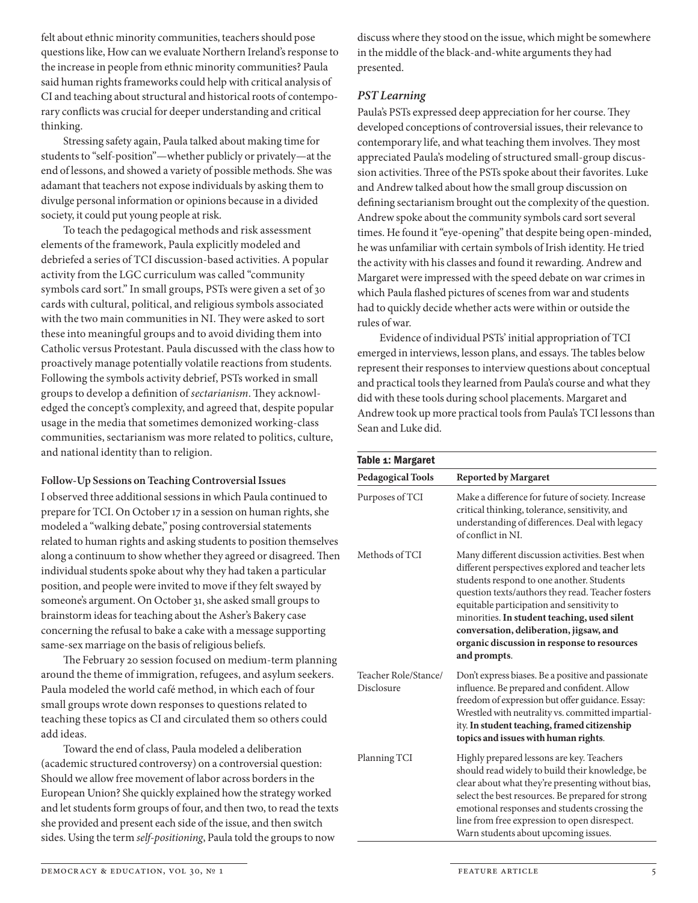felt about ethnic minority communities, teachers should pose questions like, How can we evaluate Northern Ireland's response to the increase in people from ethnic minority communities? Paula said human rights frameworks could help with critical analysis of CI and teaching about structural and historical roots of contemporary conflicts was crucial for deeper understanding and critical thinking.

Stressing safety again, Paula talked about making time for students to "self-position"—whether publicly or privately—at the end of lessons, and showed a variety of possible methods. She was adamant that teachers not expose individuals by asking them to divulge personal information or opinions because in a divided society, it could put young people at risk.

To teach the pedagogical methods and risk assessment elements of the framework, Paula explicitly modeled and debriefed a series of TCI discussion-based activities. A popular activity from the LGC curriculum was called "community symbols card sort." In small groups, PSTs were given a set of 30 cards with cultural, political, and religious symbols associated with the two main communities in NI. They were asked to sort these into meaningful groups and to avoid dividing them into Catholic versus Protestant. Paula discussed with the class how to proactively manage potentially volatile reactions from students. Following the symbols activity debrief, PSTs worked in small groups to develop a definition of *sectarianism*. They acknowledged the concept's complexity, and agreed that, despite popular usage in the media that sometimes demonized working-class communities, sectarianism was more related to politics, culture, and national identity than to religion.

#### **Follow-Up Sessions on Teaching Controversial Issues**

I observed three additional sessions in which Paula continued to prepare for TCI. On October 17 in a session on human rights, she modeled a "walking debate," posing controversial statements related to human rights and asking students to position themselves along a continuum to show whether they agreed or disagreed. Then individual students spoke about why they had taken a particular position, and people were invited to move if they felt swayed by someone's argument. On October 31, she asked small groups to brainstorm ideas for teaching about the Asher's Bakery case concerning the refusal to bake a cake with a message supporting same-sex marriage on the basis of religious beliefs.

The February 20 session focused on medium-term planning around the theme of immigration, refugees, and asylum seekers. Paula modeled the world café method, in which each of four small groups wrote down responses to questions related to teaching these topics as CI and circulated them so others could add ideas.

Toward the end of class, Paula modeled a deliberation (academic structured controversy) on a controversial question: Should we allow free movement of labor across borders in the European Union? She quickly explained how the strategy worked and let students form groups of four, and then two, to read the texts she provided and present each side of the issue, and then switch sides. Using the term *self-positioning*, Paula told the groups to now

discuss where they stood on the issue, which might be somewhere in the middle of the black-and-white arguments they had presented.

# *PST Learning*

Paula's PSTs expressed deep appreciation for her course. They developed conceptions of controversial issues, their relevance to contemporary life, and what teaching them involves. They most appreciated Paula's modeling of structured small-group discussion activities. Three of the PSTs spoke about their favorites. Luke and Andrew talked about how the small group discussion on defining sectarianism brought out the complexity of the question. Andrew spoke about the community symbols card sort several times. He found it "eye-opening" that despite being open-minded, he was unfamiliar with certain symbols of Irish identity. He tried the activity with his classes and found it rewarding. Andrew and Margaret were impressed with the speed debate on war crimes in which Paula flashed pictures of scenes from war and students had to quickly decide whether acts were within or outside the rules of war.

Evidence of individual PSTs' initial appropriation of TCI emerged in interviews, lesson plans, and essays. The tables below represent their responses to interview questions about conceptual and practical tools they learned from Paula's course and what they did with these tools during school placements. Margaret and Andrew took up more practical tools from Paula's TCI lessons than Sean and Luke did.

| Table 1: Margaret                  |                                                                                                                                                                                                                                                                                                                                                                                                               |  |
|------------------------------------|---------------------------------------------------------------------------------------------------------------------------------------------------------------------------------------------------------------------------------------------------------------------------------------------------------------------------------------------------------------------------------------------------------------|--|
| <b>Pedagogical Tools</b>           | <b>Reported by Margaret</b>                                                                                                                                                                                                                                                                                                                                                                                   |  |
| Purposes of TCI                    | Make a difference for future of society. Increase<br>critical thinking, tolerance, sensitivity, and<br>understanding of differences. Deal with legacy<br>of conflict in NI                                                                                                                                                                                                                                    |  |
| Methods of TCI                     | Many different discussion activities. Best when<br>different perspectives explored and teacher lets<br>students respond to one another. Students<br>question texts/authors they read. Teacher fosters<br>equitable participation and sensitivity to<br>minorities. In student teaching, used silent<br>conversation, deliberation, jigsaw, and<br>organic discussion in response to resources<br>and prompts. |  |
| Teacher Role/Stance/<br>Disclosure | Don't express biases. Be a positive and passionate<br>influence. Be prepared and confident. Allow<br>freedom of expression but offer guidance. Essay:<br>Wrestled with neutrality vs. committed impartial-<br>ity. In student teaching, framed citizenship<br>topics and issues with human rights.                                                                                                            |  |
| Planning TCI                       | Highly prepared lessons are key. Teachers<br>should read widely to build their knowledge, be<br>clear about what they're presenting without bias,<br>select the best resources. Be prepared for strong<br>emotional responses and students crossing the<br>line from free expression to open disrespect.<br>Warn students about upcoming issues.                                                              |  |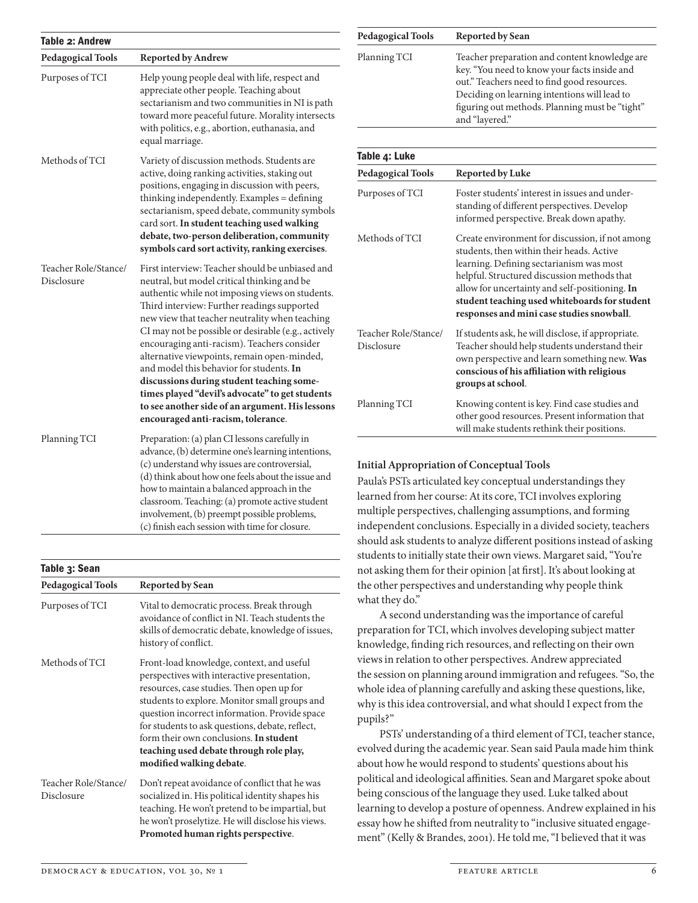| Table 2: Andrew                    |                                                                                                                                                                                                                                                                                                                                                                                                                                                                                                                                                                                                                                              |  |
|------------------------------------|----------------------------------------------------------------------------------------------------------------------------------------------------------------------------------------------------------------------------------------------------------------------------------------------------------------------------------------------------------------------------------------------------------------------------------------------------------------------------------------------------------------------------------------------------------------------------------------------------------------------------------------------|--|
| <b>Pedagogical Tools</b>           | <b>Reported by Andrew</b>                                                                                                                                                                                                                                                                                                                                                                                                                                                                                                                                                                                                                    |  |
| Purposes of TCI                    | Help young people deal with life, respect and<br>appreciate other people. Teaching about<br>sectarianism and two communities in NI is path<br>toward more peaceful future. Morality intersects<br>with politics, e.g., abortion, euthanasia, and<br>equal marriage.                                                                                                                                                                                                                                                                                                                                                                          |  |
| Methods of TCI                     | Variety of discussion methods. Students are<br>active, doing ranking activities, staking out<br>positions, engaging in discussion with peers,<br>thinking independently. Examples = defining<br>sectarianism, speed debate, community symbols<br>card sort. In student teaching used walking<br>debate, two-person deliberation, community<br>symbols card sort activity, ranking exercises.                                                                                                                                                                                                                                                 |  |
| Teacher Role/Stance/<br>Disclosure | First interview: Teacher should be unbiased and<br>neutral, but model critical thinking and be<br>authentic while not imposing views on students.<br>Third interview: Further readings supported<br>new view that teacher neutrality when teaching<br>CI may not be possible or desirable (e.g., actively<br>encouraging anti-racism). Teachers consider<br>alternative viewpoints, remain open-minded,<br>and model this behavior for students. In<br>discussions during student teaching some-<br>times played "devil's advocate" to get students<br>to see another side of an argument. His lessons<br>encouraged anti-racism, tolerance. |  |
| Planning TCI                       | Preparation: (a) plan CI lessons carefully in<br>advance, (b) determine one's learning intentions,<br>(c) understand why issues are controversial,<br>(d) think about how one feels about the issue and<br>how to maintain a balanced approach in the<br>classroom. Teaching: (a) promote active student<br>involvement, (b) preempt possible problems,<br>(c) finish each session with time for closure.                                                                                                                                                                                                                                    |  |

| Table 3: Sean                      |                                                                                                                                                                                                                                                                                                                                                                                                             |  |
|------------------------------------|-------------------------------------------------------------------------------------------------------------------------------------------------------------------------------------------------------------------------------------------------------------------------------------------------------------------------------------------------------------------------------------------------------------|--|
| <b>Pedagogical Tools</b>           | <b>Reported by Sean</b>                                                                                                                                                                                                                                                                                                                                                                                     |  |
| Purposes of TCI                    | Vital to democratic process. Break through<br>avoidance of conflict in NL Teach students the<br>skills of democratic debate, knowledge of issues,<br>history of conflict.                                                                                                                                                                                                                                   |  |
| Methods of TCI                     | Front-load knowledge, context, and useful<br>perspectives with interactive presentation,<br>resources, case studies. Then open up for<br>students to explore. Monitor small groups and<br>question incorrect information. Provide space<br>for students to ask questions, debate, reflect,<br>form their own conclusions. In student<br>teaching used debate through role play,<br>modified walking debate. |  |
| Teacher Role/Stance/<br>Disclosure | Don't repeat avoidance of conflict that he was<br>socialized in. His political identity shapes his<br>teaching. He won't pretend to be impartial, but<br>he won't proselytize. He will disclose his views.<br>Promoted human rights perspective.                                                                                                                                                            |  |

| Pedagogical Tools | <b>Reported by Sean</b>                                                                                                                                                                                                                                           |
|-------------------|-------------------------------------------------------------------------------------------------------------------------------------------------------------------------------------------------------------------------------------------------------------------|
| Planning TCI      | Teacher preparation and content knowledge are.<br>key. "You need to know your facts inside and<br>out." Teachers need to find good resources.<br>Deciding on learning intentions will lead to<br>figuring out methods. Planning must be "tight"<br>and "layered." |

| Table 4: Luke                      |                                                                                                                                                                                                                                                                                                                                         |  |
|------------------------------------|-----------------------------------------------------------------------------------------------------------------------------------------------------------------------------------------------------------------------------------------------------------------------------------------------------------------------------------------|--|
| <b>Pedagogical Tools</b>           | Reported by Luke                                                                                                                                                                                                                                                                                                                        |  |
| Purposes of TCI                    | Foster students' interest in issues and under-<br>standing of different perspectives. Develop<br>informed perspective. Break down apathy.                                                                                                                                                                                               |  |
| Methods of TCI                     | Create environment for discussion, if not among<br>students, then within their heads. Active<br>learning. Defining sectarianism was most<br>helpful. Structured discussion methods that<br>allow for uncertainty and self-positioning. In<br>student teaching used whiteboards for student<br>responses and mini case studies snowball. |  |
| Teacher Role/Stance/<br>Disclosure | If students ask, he will disclose, if appropriate.<br>Teacher should help students understand their<br>own perspective and learn something new. Was<br>conscious of his affiliation with religious<br>groups at school.                                                                                                                 |  |
| Planning TCI                       | Knowing content is key. Find case studies and<br>other good resources. Present information that<br>will make students rethink their positions.                                                                                                                                                                                          |  |

#### **Initial Appropriation of Conceptual Tools**

Paula's PSTs articulated key conceptual understandings they learned from her course: At its core, TCI involves exploring multiple perspectives, challenging assumptions, and forming independent conclusions. Especially in a divided society, teachers should ask students to analyze different positions instead of asking students to initially state their own views. Margaret said, "You're not asking them for their opinion [at first]. It's about looking at the other perspectives and understanding why people think what they do."

A second understanding was the importance of careful preparation for TCI, which involves developing subject matter knowledge, finding rich resources, and reflecting on their own views in relation to other perspectives. Andrew appreciated the session on planning around immigration and refugees. "So, the whole idea of planning carefully and asking these questions, like, why is this idea controversial, and what should I expect from the pupils?"

PSTs' understanding of a third element of TCI, teacher stance, evolved during the academic year. Sean said Paula made him think about how he would respond to students' questions about his political and ideological affinities. Sean and Margaret spoke about being conscious of the language they used. Luke talked about learning to develop a posture of openness. Andrew explained in his essay how he shifted from neutrality to "inclusive situated engagement" (Kelly & Brandes, 2001). He told me, "I believed that it was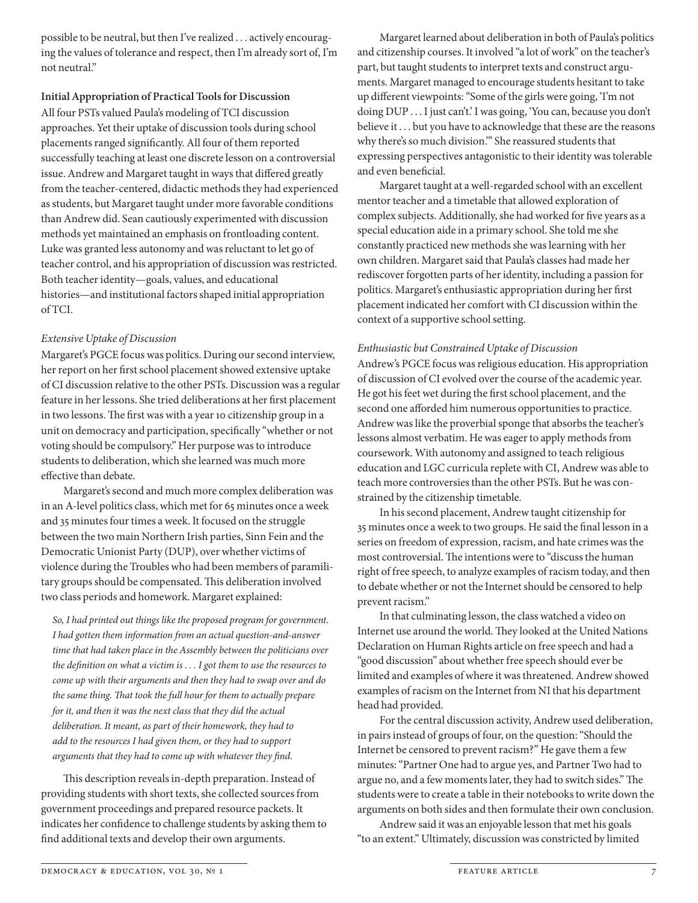possible to be neutral, but then I've realized . . . actively encouraging the values of tolerance and respect, then I'm already sort of, I'm not neutral"

# **Initial Appropriation of Practical Tools for Discussion**

All four PSTs valued Paula's modeling of TCI discussion approaches. Yet their uptake of discussion tools during school placements ranged significantly. All four of them reported successfully teaching at least one discrete lesson on a controversial issue. Andrew and Margaret taught in ways that differed greatly from the teacher-centered, didactic methods they had experienced as students, but Margaret taught under more favorable conditions than Andrew did. Sean cautiously experimented with discussion methods yet maintained an emphasis on frontloading content. Luke was granted less autonomy and was reluctant to let go of teacher control, and his appropriation of discussion was restricted. Both teacher identity—goals, values, and educational histories—and institutional factors shaped initial appropriation of TCI.

## *Extensive Uptake of Discussion*

Margaret's PGCE focus was politics. During our second interview, her report on her first school placement showed extensive uptake of CI discussion relative to the other PSTs. Discussion was a regular feature in her lessons. She tried deliberations at her first placement in two lessons. The first was with a year 10 citizenship group in a unit on democracy and participation, specifically "whether or not voting should be compulsory." Her purpose was to introduce students to deliberation, which she learned was much more effective than debate.

Margaret's second and much more complex deliberation was in an A-level politics class, which met for 65 minutes once a week and 35 minutes four times a week. It focused on the struggle between the two main Northern Irish parties, Sinn Fein and the Democratic Unionist Party (DUP), over whether victims of violence during the Troubles who had been members of paramilitary groups should be compensated. This deliberation involved two class periods and homework. Margaret explained:

*So, I had printed out things like the proposed program for government. I had gotten them information from an actual question-and-answer time that had taken place in the Assembly between the politicians over the definition on what a victim is . . . I got them to use the resources to come up with their arguments and then they had to swap over and do the same thing. That took the full hour for them to actually prepare for it, and then it was the next class that they did the actual deliberation. It meant, as part of their homework, they had to add to the resources I had given them, or they had to support arguments that they had to come up with whatever they find.*

This description reveals in-depth preparation. Instead of providing students with short texts, she collected sources from government proceedings and prepared resource packets. It indicates her confidence to challenge students by asking them to find additional texts and develop their own arguments.

Margaret learned about deliberation in both of Paula's politics and citizenship courses. It involved "a lot of work" on the teacher's part, but taught students to interpret texts and construct arguments. Margaret managed to encourage students hesitant to take up different viewpoints: "Some of the girls were going, 'I'm not doing DUP . . . I just can't.' I was going, 'You can, because you don't believe it . . . but you have to acknowledge that these are the reasons why there's so much division.'" She reassured students that expressing perspectives antagonistic to their identity was tolerable and even beneficial.

Margaret taught at a well-regarded school with an excellent mentor teacher and a timetable that allowed exploration of complex subjects. Additionally, she had worked for five years as a special education aide in a primary school. She told me she constantly practiced new methods she was learning with her own children. Margaret said that Paula's classes had made her rediscover forgotten parts of her identity, including a passion for politics. Margaret's enthusiastic appropriation during her first placement indicated her comfort with CI discussion within the context of a supportive school setting.

## *Enthusiastic but Constrained Uptake of Discussion*

Andrew's PGCE focus was religious education. His appropriation of discussion of CI evolved over the course of the academic year. He got his feet wet during the first school placement, and the second one afforded him numerous opportunities to practice. Andrew was like the proverbial sponge that absorbs the teacher's lessons almost verbatim. He was eager to apply methods from coursework. With autonomy and assigned to teach religious education and LGC curricula replete with CI, Andrew was able to teach more controversies than the other PSTs. But he was constrained by the citizenship timetable.

In his second placement, Andrew taught citizenship for 35 minutes once a week to two groups. He said the final lesson in a series on freedom of expression, racism, and hate crimes was the most controversial. The intentions were to "discuss the human right of free speech, to analyze examples of racism today, and then to debate whether or not the Internet should be censored to help prevent racism."

In that culminating lesson, the class watched a video on Internet use around the world. They looked at the United Nations Declaration on Human Rights article on free speech and had a "good discussion" about whether free speech should ever be limited and examples of where it was threatened. Andrew showed examples of racism on the Internet from NI that his department head had provided.

For the central discussion activity, Andrew used deliberation, in pairs instead of groups of four, on the question: "Should the Internet be censored to prevent racism?" He gave them a few minutes: "Partner One had to argue yes, and Partner Two had to argue no, and a few moments later, they had to switch sides." The students were to create a table in their notebooks to write down the arguments on both sides and then formulate their own conclusion.

Andrew said it was an enjoyable lesson that met his goals "to an extent." Ultimately, discussion was constricted by limited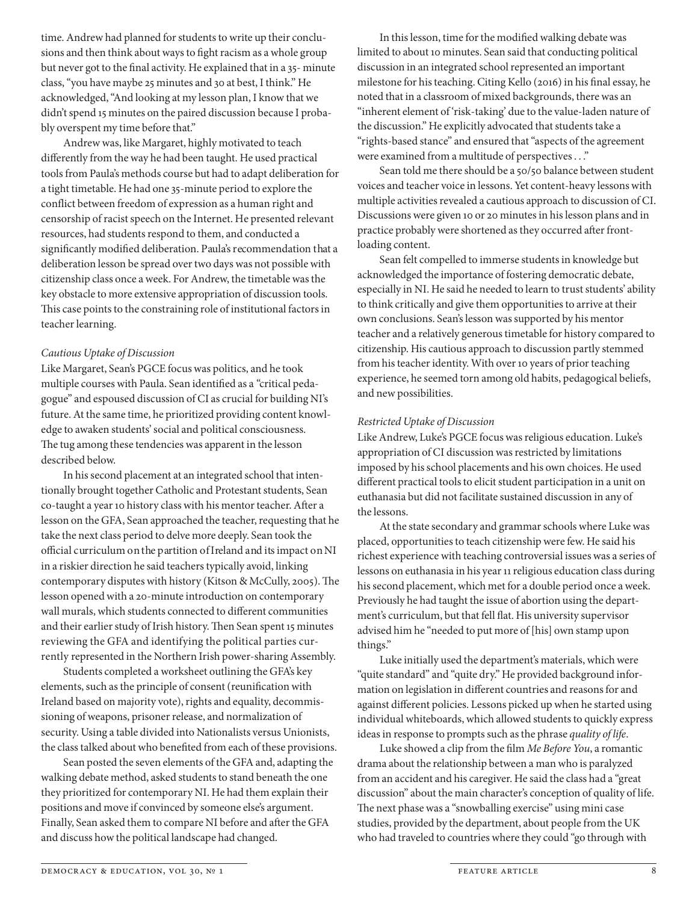time. Andrew had planned for students to write up their conclusions and then think about ways to fight racism as a whole group but never got to the final activity. He explained that in a 35- minute class, "you have maybe 25 minutes and 30 at best, I think." He acknowledged, "And looking at my lesson plan, I know that we didn't spend 15 minutes on the paired discussion because I probably overspent my time before that."

Andrew was, like Margaret, highly motivated to teach differently from the way he had been taught. He used practical tools from Paula's methods course but had to adapt deliberation for a tight timetable. He had one 35- minute period to explore the conflict between freedom of expression as a human right and censorship of racist speech on the Internet. He presented relevant resources, had students respond to them, and conducted a significantly modified deliberation. Paula's recommendation that a deliberation lesson be spread over two days was not possible with citizenship class once a week. For Andrew, the timetable was the key obstacle to more extensive appropriation of discussion tools. This case points to the constraining role of institutional factors in teacher learning.

#### *Cautious Uptake of Discussion*

Like Margaret, Sean's PGCE focus was politics, and he took multiple courses with Paula. Sean identified as a "critical pedagogue" and espoused discussion of CI as crucial for building NI's future. At the same time, he prioritized providing content knowledge to awaken students' social and political consciousness. The tug among these tendencies was apparent in the lesson described below.

In his second placement at an integrated school that intentionally brought together Catholic and Protestant students, Sean co- taught a year 10 history class with his mentor teacher. After a lesson on the GFA, Sean approached the teacher, requesting that he take the next class period to delve more deeply. Sean took the official curriculum on the partition of Ireland and its impact on NI in a riskier direction he said teachers typically avoid, linking contemporary disputes with history (Kitson & McCully, 2005). The lesson opened with a 20-minute introduction on contemporary wall murals, which students connected to different communities and their earlier study of Irish history. Then Sean spent 15 minutes reviewing the GFA and identifying the political parties currently represented in the Northern Irish power- sharing Assembly.

Students completed a worksheet outlining the GFA's key elements, such as the principle of consent (reunification with Ireland based on majority vote), rights and equality, decommissioning of weapons, prisoner release, and normalization of security. Using a table divided into Nationalists versus Unionists, the class talked about who benefited from each of these provisions.

Sean posted the seven elements of the GFA and, adapting the walking debate method, asked students to stand beneath the one they prioritized for contemporary NI. He had them explain their positions and move if convinced by someone else's argument. Finally, Sean asked them to compare NI before and after the GFA and discuss how the political landscape had changed.

In this lesson, time for the modified walking debate was limited to about 10 minutes. Sean said that conducting political discussion in an integrated school represented an important milestone for his teaching. Citing Kello (2016) in his final essay, he noted that in a classroom of mixed backgrounds, there was an "inherent element of 'risk-taking' due to the value-laden nature of the discussion." He explicitly advocated that students take a "rights-based stance" and ensured that "aspects of the agreement were examined from a multitude of perspectives . . ."

Sean told me there should be a 50/50 balance between student voices and teacher voice in lessons. Yet content-heavy lessons with multiple activities revealed a cautious approach to discussion of CI. Discussions were given 10 or 20 minutes in his lesson plans and in practice probably were shortened as they occurred after frontloading content.

Sean felt compelled to immerse students in knowledge but acknowledged the importance of fostering democratic debate, especially in NI. He said he needed to learn to trust students' ability to think critically and give them opportunities to arrive at their own conclusions. Sean's lesson was supported by his mentor teacher and a relatively generous timetable for history compared to citizenship. His cautious approach to discussion partly stemmed from his teacher identity. With over 10 years of prior teaching experience, he seemed torn among old habits, pedagogical beliefs, and new possibilities.

#### *Restricted Uptake of Discussion*

Like Andrew, Luke's PGCE focus was religious education. Luke's appropriation of CI discussion was restricted by limitations imposed by his school placements and his own choices. He used different practical tools to elicit student participation in a unit on euthanasia but did not facilitate sustained discussion in any of the lessons.

At the state secondary and grammar schools where Luke was placed, opportunities to teach citizenship were few. He said his richest experience with teaching controversial issues was a series of lessons on euthanasia in his year 11 religious education class during his second placement, which met for a double period once a week. Previously he had taught the issue of abortion using the department's curriculum, but that fell flat. His university supervisor advised him he "needed to put more of [his] own stamp upon things."

Luke initially used the department's materials, which were "quite standard" and "quite dry." He provided background information on legislation in different countries and reasons for and against different policies. Lessons picked up when he started using individual whiteboards, which allowed students to quickly express ideas in response to prompts such as the phrase *quality of life*.

Luke showed a clip from the film *Me Before You*, a romantic drama about the relationship between a man who is paralyzed from an accident and his caregiver. He said the class had a "great discussion" about the main character's conception of quality of life. The next phase was a "snowballing exercise" using mini case studies, provided by the department, about people from the UK who had traveled to countries where they could "go through with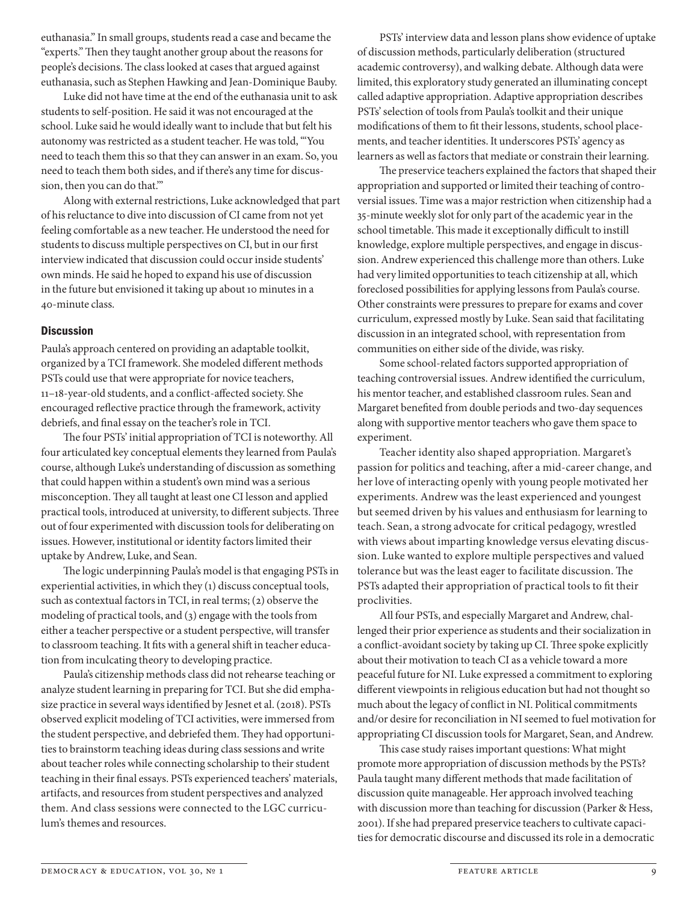euthanasia." In small groups, students read a case and became the "experts." Then they taught another group about the reasons for people's decisions. The class looked at cases that argued against euthanasia, such as Stephen Hawking and Jean-Dominique Bauby.

Luke did not have time at the end of the euthanasia unit to ask students to self-position. He said it was not encouraged at the school. Luke said he would ideally want to include that but felt his autonomy was restricted as a student teacher. He was told, "'You need to teach them this so that they can answer in an exam. So, you need to teach them both sides, and if there's any time for discussion, then you can do that.'"

Along with external restrictions, Luke acknowledged that part of his reluctance to dive into discussion of CI came from not yet feeling comfortable as a new teacher. He understood the need for students to discuss multiple perspectives on CI, but in our first interview indicated that discussion could occur inside students' own minds. He said he hoped to expand his use of discussion in the future but envisioned it taking up about 10 minutes in a 40-minute class.

#### **Discussion**

Paula's approach centered on providing an adaptable toolkit, organized by a TCI framework. She modeled different methods PSTs could use that were appropriate for novice teachers, 11–18-year-old students, and a conflict-affected society. She encouraged reflective practice through the framework, activity debriefs, and final essay on the teacher's role in TCI.

The four PSTs' initial appropriation of TCI is noteworthy. All four articulated key conceptual elements they learned from Paula's course, although Luke's understanding of discussion as something that could happen within a student's own mind was a serious misconception. They all taught at least one CI lesson and applied practical tools, introduced at university, to different subjects. Three out of four experimented with discussion tools for deliberating on issues. However, institutional or identity factors limited their uptake by Andrew, Luke, and Sean.

The logic underpinning Paula's model is that engaging PSTs in experiential activities, in which they (1) discuss conceptual tools, such as contextual factors in TCI, in real terms; (2) observe the modeling of practical tools, and (3) engage with the tools from either a teacher perspective or a student perspective, will transfer to classroom teaching. It fits with a general shift in teacher education from inculcating theory to developing practice.

Paula's citizenship methods class did not rehearse teaching or analyze student learning in preparing for TCI. But she did emphasize practice in several ways identified by Jesnet et al. (2018). PSTs observed explicit modeling of TCI activities, were immersed from the student perspective, and debriefed them. They had opportunities to brainstorm teaching ideas during class sessions and write about teacher roles while connecting scholarship to their student teaching in their final essays. PSTs experienced teachers' materials, artifacts, and resources from student perspectives and analyzed them. And class sessions were connected to the LGC curriculum's themes and resources.

PSTs' interview data and lesson plans show evidence of uptake of discussion methods, particularly deliberation (structured academic controversy), and walking debate. Although data were limited, this exploratory study generated an illuminating concept called adaptive appropriation. Adaptive appropriation describes PSTs' selection of tools from Paula's toolkit and their unique modifications of them to fit their lessons, students, school placements, and teacher identities. It underscores PSTs' agency as learners as well as factors that mediate or constrain their learning.

The preservice teachers explained the factors that shaped their appropriation and supported or limited their teaching of controversial issues. Time was a major restriction when citizenship had a 35-minute weekly slot for only part of the academic year in the school timetable. This made it exceptionally difficult to instill knowledge, explore multiple perspectives, and engage in discussion. Andrew experienced this challenge more than others. Luke had very limited opportunities to teach citizenship at all, which foreclosed possibilities for applying lessons from Paula's course. Other constraints were pressures to prepare for exams and cover curriculum, expressed mostly by Luke. Sean said that facilitating discussion in an integrated school, with representation from communities on either side of the divide, was risky.

Some school-related factors supported appropriation of teaching controversial issues. Andrew identified the curriculum, his mentor teacher, and established classroom rules. Sean and Margaret benefited from double periods and two-day sequences along with supportive mentor teachers who gave them space to experiment.

Teacher identity also shaped appropriation. Margaret's passion for politics and teaching, after a mid-career change, and her love of interacting openly with young people motivated her experiments. Andrew was the least experienced and youngest but seemed driven by his values and enthusiasm for learning to teach. Sean, a strong advocate for critical pedagogy, wrestled with views about imparting knowledge versus elevating discussion. Luke wanted to explore multiple perspectives and valued tolerance but was the least eager to facilitate discussion. The PSTs adapted their appropriation of practical tools to fit their proclivities.

All four PSTs, and especially Margaret and Andrew, challenged their prior experience as students and their socialization in a conflict-avoidant society by taking up CI. Three spoke explicitly about their motivation to teach CI as a vehicle toward a more peaceful future for NI. Luke expressed a commitment to exploring different viewpoints in religious education but had not thought so much about the legacy of conflict in NI. Political commitments and/or desire for reconciliation in NI seemed to fuel motivation for appropriating CI discussion tools for Margaret, Sean, and Andrew.

This case study raises important questions: What might promote more appropriation of discussion methods by the PSTs? Paula taught many different methods that made facilitation of discussion quite manageable. Her approach involved teaching with discussion more than teaching for discussion (Parker & Hess, 2001). If she had prepared preservice teachers to cultivate capacities for democratic discourse and discussed its role in a democratic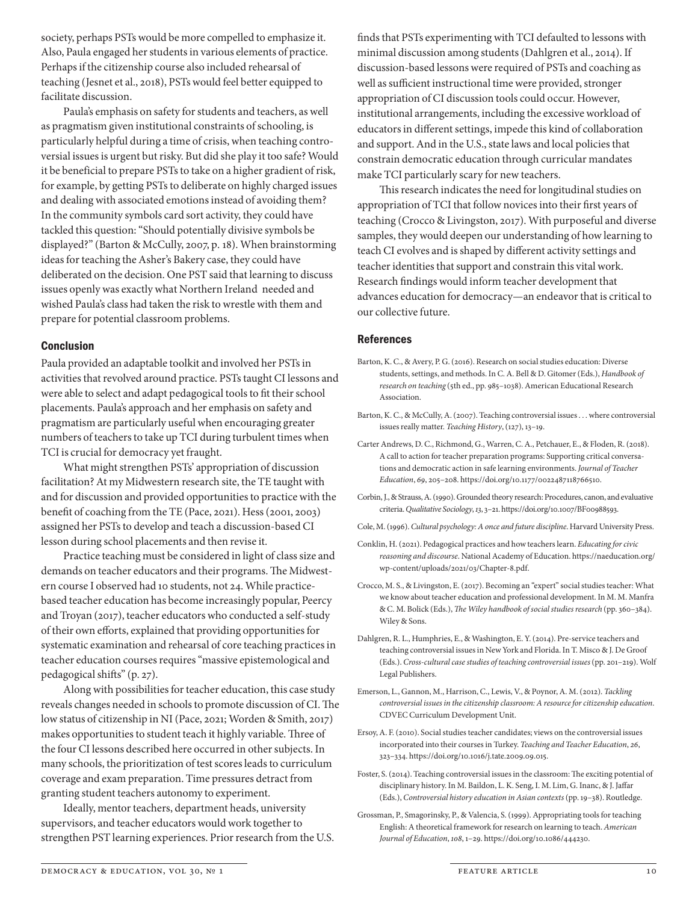society, perhaps PSTs would be more compelled to emphasize it. Also, Paula engaged her students in various elements of practice. Perhaps if the citizenship course also included rehearsal of teaching (Jesnet et al., 2018), PSTs would feel better equipped to facilitate discussion.

Paula's emphasis on safety for students and teachers, as well as pragmatism given institutional constraints of schooling, is particularly helpful during a time of crisis, when teaching controversial issues is urgent but risky. But did she play it too safe? Would it be beneficial to prepare PSTs to take on a higher gradient of risk, for example, by getting PSTs to deliberate on highly charged issues and dealing with associated emotions instead of avoiding them? In the community symbols card sort activity, they could have tackled this question: "Should potentially divisive symbols be displayed?" (Barton & McCully, 2007, p. 18). When brainstorming ideas for teaching the Asher's Bakery case, they could have deliberated on the decision. One PST said that learning to discuss issues openly was exactly what Northern Ireland needed and wished Paula's class had taken the risk to wrestle with them and prepare for potential classroom problems.

#### Conclusion

Paula provided an adaptable toolkit and involved her PSTs in activities that revolved around practice. PSTs taught CI lessons and were able to select and adapt pedagogical tools to fit their school placements. Paula's approach and her emphasis on safety and pragmatism are particularly useful when encouraging greater numbers of teachers to take up TCI during turbulent times when TCI is crucial for democracy yet fraught.

What might strengthen PSTs' appropriation of discussion facilitation? At my Midwestern research site, the TE taught with and for discussion and provided opportunities to practice with the benefit of coaching from the TE (Pace, 2021). Hess (2001, 2003) assigned her PSTs to develop and teach a discussion- based CI lesson during school placements and then revise it.

Practice teaching must be considered in light of class size and demands on teacher educators and their programs. The Midwestern course I observed had 10 students, not 24. While practicebased teacher education has become increasingly popular, Peercy and Troyan (2017), teacher educators who conducted a self-study of their own efforts, explained that providing opportunities for systematic examination and rehearsal of core teaching practices in teacher education courses requires "massive epistemological and pedagogical shifts" (p. 27).

Along with possibilities for teacher education, this case study reveals changes needed in schools to promote discussion of CI. The low status of citizenship in NI (Pace, 2021; Worden & Smith, 2017) makes opportunities to student teach it highly variable. Three of the four CI lessons described here occurred in other subjects. In many schools, the prioritization of test scores leads to curriculum coverage and exam preparation. Time pressures detract from granting student teachers autonomy to experiment.

Ideally, mentor teachers, department heads, university supervisors, and teacher educators would work together to strengthen PST learning experiences. Prior research from the U.S.

finds that PSTs experimenting with TCI defaulted to lessons with minimal discussion among students (Dahlgren et al., 2014). If discussion-based lessons were required of PSTs and coaching as well as sufficient instructional time were provided, stronger appropriation of CI discussion tools could occur. However, institutional arrangements, including the excessive workload of educators in different settings, impede this kind of collaboration and support. And in the U.S., state laws and local policies that constrain democratic education through curricular mandates make TCI particularly scary for new teachers.

This research indicates the need for longitudinal studies on appropriation of TCI that follow novices into their first years of teaching (Crocco & Livingston, 2017). With purposeful and diverse samples, they would deepen our understanding of how learning to teach CI evolves and is shaped by different activity settings and teacher identities that support and constrain this vital work. Research findings would inform teacher development that advances education for democracy—an endeavor that is critical to our collective future.

#### References

- Barton, K. C., & Avery, P. G. (2016). Research on social studies education: Diverse students, settings, and methods. In C. A. Bell & D. Gitomer (Eds.), *Handbook of research on teaching* (5th ed., pp. 985–1038). American Educational Research Association.
- Barton, K. C., & McCully, A. (2007). Teaching controversial issues . . . where controversial issues really matter. *Teaching History*, (127), 13–19.
- Carter Andrews, D. C., Richmond, G., Warren, C. A., Petchauer, E., & Floden, R. (2018). A call to action for teacher preparation programs: Supporting critical conversations and democratic action in safe learning environments. *Journal of Teacher Education*, *69*, 205–208. https://doi.org/10.1177/0022487118766510.
- Corbin, J., & Strauss, A. (1990). Grounded theory research: Procedures, canon, and evaluative criteria. *Qualitative Sociology*, *13*, 3–21. https://doi.org/10.1007/BF00988593.
- Cole, M. (1996). *Cultural psychology: A once and future discipline*. Harvard University Press.
- Conklin, H. (2021). Pedagogical practices and how teachers learn. *Educating for civic reasoning and discourse*. National Academy of Education. https://naeducation.org/ wp-content/uploads/2021/03/Chapter-8.pdf.
- Crocco, M. S., & Livingston, E. (2017). Becoming an "expert" social studies teacher: What we know about teacher education and professional development. In M. M. Manfra & C. M. Bolick (Eds.), *The Wiley handbook of social studies research* (pp. 360–384). Wiley & Sons.
- Dahlgren, R. L., Humphries, E., & Washington, E. Y. (2014). Pre-service teachers and teaching controversial issues in New York and Florida. In T. Misco & J. De Groof (Eds.). *Cross-cultural case studies of teaching controversial issues* (pp. 201–219). Wolf Legal Publishers.
- Emerson, L., Gannon, M., Harrison, C., Lewis, V., & Poynor, A. M. (2012). *Tackling controversial issues in the citizenship classroom: A resource for citizenship education*. CDVEC Curriculum Development Unit.
- Ersoy, A. F. (2010). Social studies teacher candidates; views on the controversial issues incorporated into their courses in Turkey. *Teaching and Teacher Education*, *26*, 323–334. https://doi.org/10.1016/j.tate.2009.09.015.
- Foster, S. (2014). Teaching controversial issues in the classroom: The exciting potential of disciplinary history. In M. Baildon, L. K. Seng, I. M. Lim, G. Inanc, & J. Jaffar (Eds.), *Controversial history education in Asian contexts* (pp. 19–38). Routledge.
- Grossman, P., Smagorinsky, P., & Valencia, S. (1999). Appropriating tools for teaching English: A theoretical framework for research on learning to teach. *American Journal of Education*, *108*, 1–29. https://doi.org/10.1086/444230.